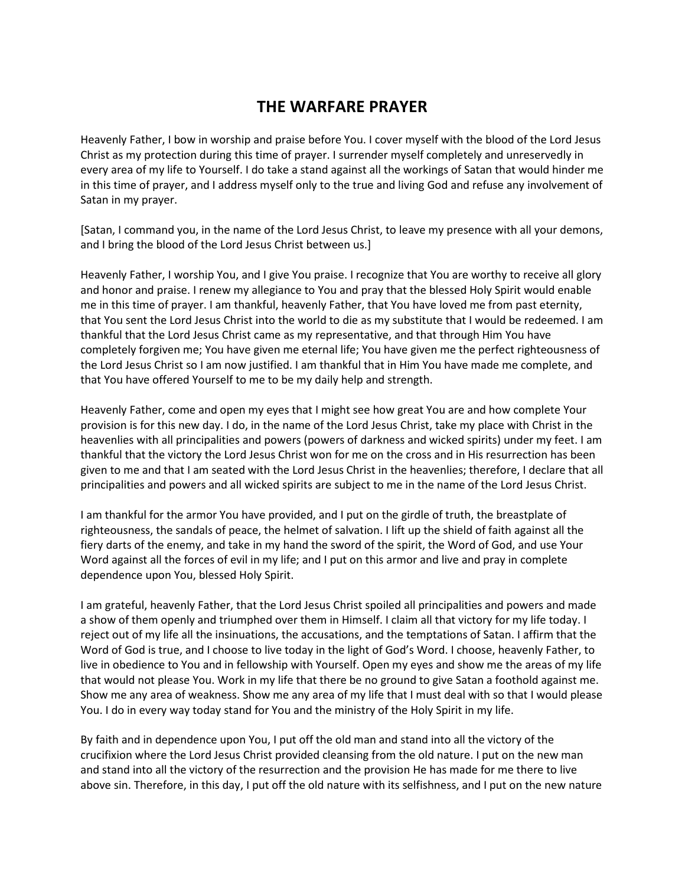## **THE WARFARE PRAYER**

Heavenly Father, I bow in worship and praise before You. I cover myself with the blood of the Lord Jesus Christ as my protection during this time of prayer. I surrender myself completely and unreservedly in every area of my life to Yourself. I do take a stand against all the workings of Satan that would hinder me in this time of prayer, and I address myself only to the true and living God and refuse any involvement of Satan in my prayer.

[Satan, I command you, in the name of the Lord Jesus Christ, to leave my presence with all your demons, and I bring the blood of the Lord Jesus Christ between us.]

Heavenly Father, I worship You, and I give You praise. I recognize that You are worthy to receive all glory and honor and praise. I renew my allegiance to You and pray that the blessed Holy Spirit would enable me in this time of prayer. I am thankful, heavenly Father, that You have loved me from past eternity, that You sent the Lord Jesus Christ into the world to die as my substitute that I would be redeemed. I am thankful that the Lord Jesus Christ came as my representative, and that through Him You have completely forgiven me; You have given me eternal life; You have given me the perfect righteousness of the Lord Jesus Christ so I am now justified. I am thankful that in Him You have made me complete, and that You have offered Yourself to me to be my daily help and strength.

Heavenly Father, come and open my eyes that I might see how great You are and how complete Your provision is for this new day. I do, in the name of the Lord Jesus Christ, take my place with Christ in the heavenlies with all principalities and powers (powers of darkness and wicked spirits) under my feet. I am thankful that the victory the Lord Jesus Christ won for me on the cross and in His resurrection has been given to me and that I am seated with the Lord Jesus Christ in the heavenlies; therefore, I declare that all principalities and powers and all wicked spirits are subject to me in the name of the Lord Jesus Christ.

I am thankful for the armor You have provided, and I put on the girdle of truth, the breastplate of righteousness, the sandals of peace, the helmet of salvation. I lift up the shield of faith against all the fiery darts of the enemy, and take in my hand the sword of the spirit, the Word of God, and use Your Word against all the forces of evil in my life; and I put on this armor and live and pray in complete dependence upon You, blessed Holy Spirit.

I am grateful, heavenly Father, that the Lord Jesus Christ spoiled all principalities and powers and made a show of them openly and triumphed over them in Himself. I claim all that victory for my life today. I reject out of my life all the insinuations, the accusations, and the temptations of Satan. I affirm that the Word of God is true, and I choose to live today in the light of God's Word. I choose, heavenly Father, to live in obedience to You and in fellowship with Yourself. Open my eyes and show me the areas of my life that would not please You. Work in my life that there be no ground to give Satan a foothold against me. Show me any area of weakness. Show me any area of my life that I must deal with so that I would please You. I do in every way today stand for You and the ministry of the Holy Spirit in my life.

By faith and in dependence upon You, I put off the old man and stand into all the victory of the crucifixion where the Lord Jesus Christ provided cleansing from the old nature. I put on the new man and stand into all the victory of the resurrection and the provision He has made for me there to live above sin. Therefore, in this day, I put off the old nature with its selfishness, and I put on the new nature